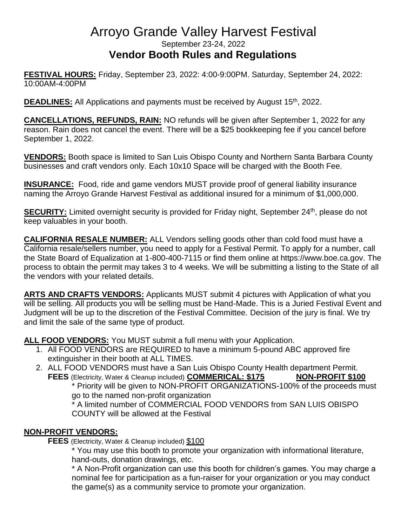## Arroyo Grande Valley Harvest Festival September 23-24, 2022 **Vendor Booth Rules and Regulations**

**FESTIVAL HOURS:** Friday, September 23, 2022: 4:00-9:00PM. Saturday, September 24, 2022: 10:00AM-4:00PM

**DEADLINES:** All Applications and payments must be received by August 15<sup>th</sup>, 2022.

**CANCELLATIONS, REFUNDS, RAIN:** NO refunds will be given after September 1, 2022 for any reason. Rain does not cancel the event. There will be a \$25 bookkeeping fee if you cancel before September 1, 2022.

**VENDORS:** Booth space is limited to San Luis Obispo County and Northern Santa Barbara County businesses and craft vendors only. Each 10x10 Space will be charged with the Booth Fee.

**INSURANCE:** Food, ride and game vendors MUST provide proof of general liability insurance naming the Arroyo Grande Harvest Festival as additional insured for a minimum of \$1,000,000.

**SECURITY:** Limited overnight security is provided for Friday night, September 24<sup>th</sup>, please do not keep valuables in your booth.

**CALIFORNIA RESALE NUMBER:** ALL Vendors selling goods other than cold food must have a California resale/sellers number, you need to apply for a Festival Permit. To apply for a number, call the State Board of Equalization at 1-800-400-7115 or find them online at https://www.boe.ca.gov. The process to obtain the permit may takes 3 to 4 weeks. We will be submitting a listing to the State of all the vendors with your related details.

**ARTS AND CRAFTS VENDORS:** Applicants MUST submit 4 pictures with Application of what you will be selling. All products you will be selling must be Hand-Made. This is a Juried Festival Event and Judgment will be up to the discretion of the Festival Committee. Decision of the jury is final. We try and limit the sale of the same type of product.

**ALL FOOD VENDORS:** You MUST submit a full menu with your Application.

- 1. All FOOD VENDORS are REQUIRED to have a minimum 5-pound ABC approved fire extinguisher in their booth at ALL TIMES.
- 2. ALL FOOD VENDORS must have a San Luis Obispo County Health department Permit. **FEES** (Electricity, Water & Cleanup included) **COMMERICAL: \$175 NON-PROFIT \$100**

\* Priority will be given to NON-PROFIT ORGANIZATIONS-100% of the proceeds must go to the named non-profit organization

\* A limited number of COMMERCIAL FOOD VENDORS from SAN LUIS OBISPO COUNTY will be allowed at the Festival

#### **NON-PROFIT VENDORS:**

**FEES** (Electricity, Water & Cleanup included) \$100

\* You may use this booth to promote your organization with informational literature, hand-outs, donation drawings, etc.

\* A Non-Profit organization can use this booth for children's games. You may charge a nominal fee for participation as a fun-raiser for your organization or you may conduct the game(s) as a community service to promote your organization.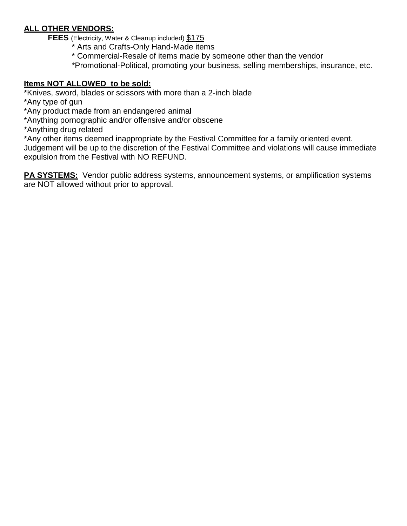#### **ALL OTHER VENDORS:**

**FEES** (Electricity, Water & Cleanup included) \$175

- \* Arts and Crafts-Only Hand-Made items
- \* Commercial-Resale of items made by someone other than the vendor
- \*Promotional-Political, promoting your business, selling memberships, insurance, etc.

#### **Items NOT ALLOWED to be sold:**

\*Knives, sword, blades or scissors with more than a 2-inch blade

\*Any type of gun

\*Any product made from an endangered animal

\*Anything pornographic and/or offensive and/or obscene

\*Anything drug related

\*Any other items deemed inappropriate by the Festival Committee for a family oriented event.

Judgement will be up to the discretion of the Festival Committee and violations will cause immediate expulsion from the Festival with NO REFUND.

**PA SYSTEMS:** Vendor public address systems, announcement systems, or amplification systems are NOT allowed without prior to approval.